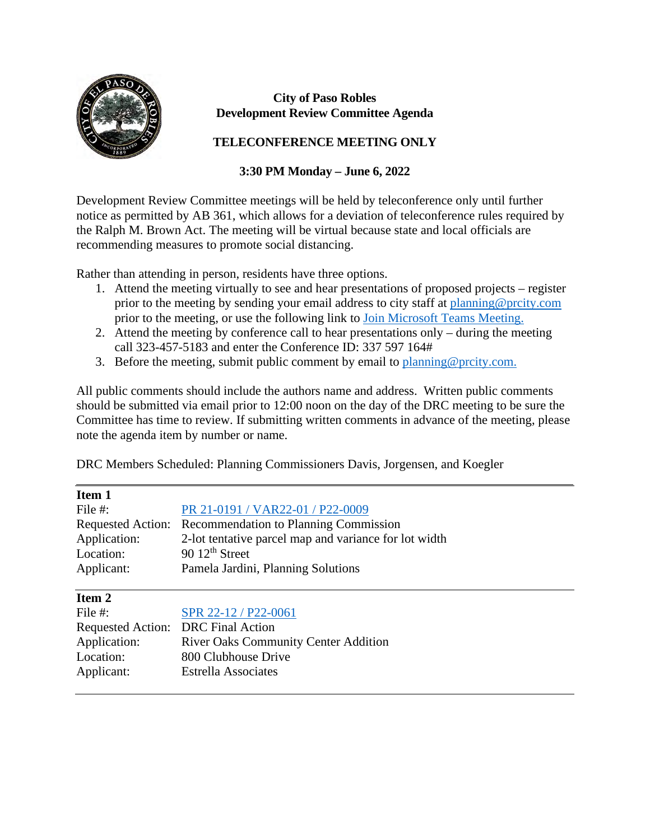

### **City of Paso Robles Development Review Committee Agenda**

# **TELECONFERENCE MEETING ONLY**

### **3:30 PM Monday – June 6, 2022**

Development Review Committee meetings will be held by teleconference only until further notice as permitted by AB 361, which allows for a deviation of teleconference rules required by the Ralph M. Brown Act. The meeting will be virtual because state and local officials are recommending measures to promote social distancing.

Rather than attending in person, residents have three options.

- 1. Attend the meeting virtually to see and hear presentations of proposed projects register prior to the meeting by sending your email address to city staff at [planning@prcity.com](mailto:planning@prcity.com) prior to the meeting, or use the following link to [Join Microsoft Teams Meeting.](https://teams.microsoft.com/l/meetup-join/19%3ameeting_NTljZGI3MDgtNGUwYS00ZTRmLTliYTItZDRmYjNmN2QzYzg2%40thread.v2/0?context=%7b%22Tid%22%3a%221a5b5698-d524-42f2-abba-fb4615f7b1d6%22%2c%22Oid%22%3a%2266ba4e2a-3671-4e72-9d7a-eef3135a0aef%22%7d)
- 2. Attend the meeting by conference call to hear presentations only during the meeting call 323-457-5183 and enter the Conference ID: 337 597 164#
- 3. Before the meeting, submit public comment by email to planning @prcity.com.

All public comments should include the authors name and address. Written public comments should be submitted via email prior to 12:00 noon on the day of the DRC meeting to be sure the Committee has time to review. If submitting written comments in advance of the meeting, please note the agenda item by number or name.

DRC Members Scheduled: Planning Commissioners Davis, Jorgensen, and Koegler

| Item 1                             |                                                       |
|------------------------------------|-------------------------------------------------------|
| File #:                            | PR 21-0191 / VAR22-01 / P22-0009                      |
| <b>Requested Action:</b>           | Recommendation to Planning Commission                 |
| Application:                       | 2-lot tentative parcel map and variance for lot width |
| Location:                          | 90 $12th$ Street                                      |
| Applicant:                         | Pamela Jardini, Planning Solutions                    |
|                                    |                                                       |
| Item 2                             |                                                       |
| File $#$ :                         | SPR 22-12 / P22-0061                                  |
| Requested Action: DRC Final Action |                                                       |
| Application:                       | <b>River Oaks Community Center Addition</b>           |
| Location:                          | 800 Clubhouse Drive                                   |
| Applicant:                         | <b>Estrella Associates</b>                            |
|                                    |                                                       |